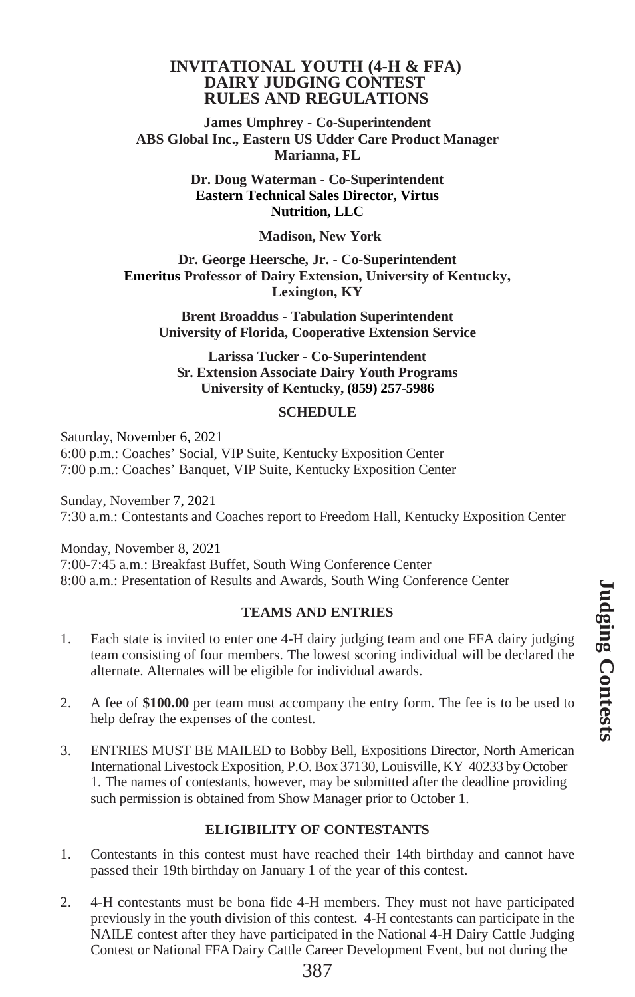#### **INVITATIONAL YOUTH (4-H & FFA) DAIRY JUDGING CONTEST RULES AND REGULATIONS**

**James Umphrey - Co-Superintendent ABS Global Inc., Eastern US Udder Care Product Manager Marianna, FL**

> **Dr. Doug Waterman - Co-Superintendent Eastern Technical Sales Director, Virtus Nutrition, LLC**

#### **Madison, New York**

**Dr. George Heersche, Jr. - Co-Superintendent Emeritus Professor of Dairy Extension, University of Kentucky, Lexington, KY**

**Brent Broaddus - Tabulation Superintendent University of Florida, Cooperative Extension Service**

**Larissa Tucker - Co-Superintendent Sr. Extension Associate Dairy Youth Programs University of Kentucky, (859) 257-5986**

#### **SCHEDULE**

Saturday, November 6, 2021 6:00 p.m.: Coaches' Social, VIP Suite, Kentucky Exposition Center 7:00 p.m.: Coaches' Banquet, VIP Suite, Kentucky Exposition Center

Sunday, November 7, 2021 7:30 a.m.: Contestants and Coaches report to Freedom Hall, Kentucky Exposition Center

Monday, November 8, 2021 7:00-7:45 a.m.: Breakfast Buffet, South Wing Conference Center 8:00 a.m.: Presentation of Results and Awards, South Wing Conference Center

## **TEAMS AND ENTRIES**

- 1. Each state is invited to enter one 4-H dairy judging team and one FFA dairy judging team consisting of four members. The lowest scoring individual will be declared the alternate. Alternates will be eligible for individual awards.
- 2. A fee of **\$100.00** per team must accompany the entry form. The fee is to be used to help defray the expenses of the contest.
- 3. ENTRIES MUST BE MAILED to Bobby Bell, Expositions Director, North American International Livestock Exposition, P.O. Box 37130, Louisville, KY 40233 by October 1. The names of contestants, however, may be submitted after the deadline providing such permission is obtained from Show Manager prior to October 1.

## **ELIGIBILITY OF CONTESTANTS**

- 1. Contestants in this contest must have reached their 14th birthday and cannot have passed their 19th birthday on January 1 of the year of this contest.
- 2. 4-H contestants must be bona fide 4-H members. They must not have participated previously in the youth division of this contest. 4-H contestants can participate in the NAILE contest after they have participated in the National 4-H Dairy Cattle Judging Contest or National FFA Dairy Cattle Career Development Event, but not during the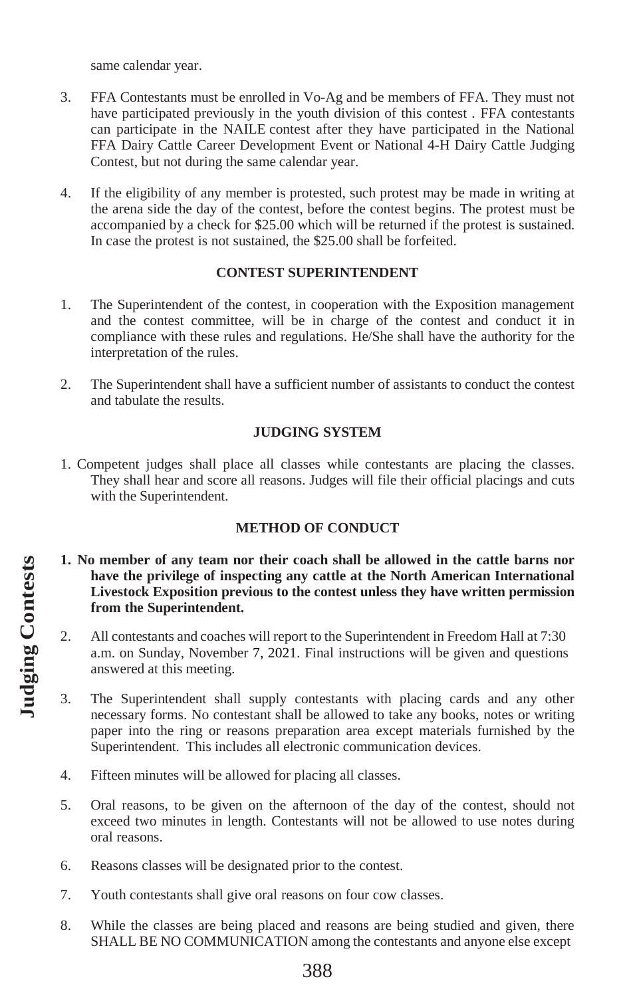same calendar year.

- 3. FFA Contestants must be enrolled in Vo-Ag and be members of FFA. They must not have participated previously in the youth division of this contest . FFA contestants can participate in the NAILE contest after they have participated in the National FFA Dairy Cattle Career Development Event or National 4-H Dairy Cattle Judging Contest, but not during the same calendar year.
- 4. If the eligibility of any member is protested, such protest may be made in writing at the arena side the day of the contest, before the contest begins. The protest must be accompanied by a check for \$25.00 which will be returned if the protest is sustained. In case the protest is not sustained, the \$25.00 shall be forfeited.

#### **CONTEST SUPERINTENDENT**

- 1. The Superintendent of the contest, in cooperation with the Exposition management and the contest committee, will be in charge of the contest and conduct it in compliance with these rules and regulations. He/She shall have the authority for the interpretation of the rules.
- 2. The Superintendent shall have a sufficient number of assistants to conduct the contest and tabulate the results.

# **JUDGING SYSTEM**

1. Competent judges shall place all classes while contestants are placing the classes. They shall hear and score all reasons. Judges will file their official placings and cuts with the Superintendent.

## **METHOD OF CONDUCT**

- **1. No member of any team nor their coach shall be allowed in the cattle barns nor have the privilege of inspecting any cattle at the North American International Livestock Exposition previous to the contest unless they have written permission from the Superintendent.**
- 2. All contestants and coaches will report to the Superintendent in Freedom Hall at 7:30 a.m. on Sunday, November 7, 2021. Final instructions will be given and questions answered at this meeting.
- 3. The Superintendent shall supply contestants with placing cards and any other necessary forms. No contestant shall be allowed to take any books, notes or writing paper into the ring or reasons preparation area except materials furnished by the Superintendent. This includes all electronic communication devices.
- 4. Fifteen minutes will be allowed for placing all classes.
- 5. Oral reasons, to be given on the afternoon of the day of the contest, should not exceed two minutes in length. Contestants will not be allowed to use notes during oral reasons.
- 6. Reasons classes will be designated prior to the contest.
- 7. Youth contestants shall give oral reasons on four cow classes.
- 8. While the classes are being placed and reasons are being studied and given, there SHALL BE NO COMMUNICATION among the contestants and anyone else except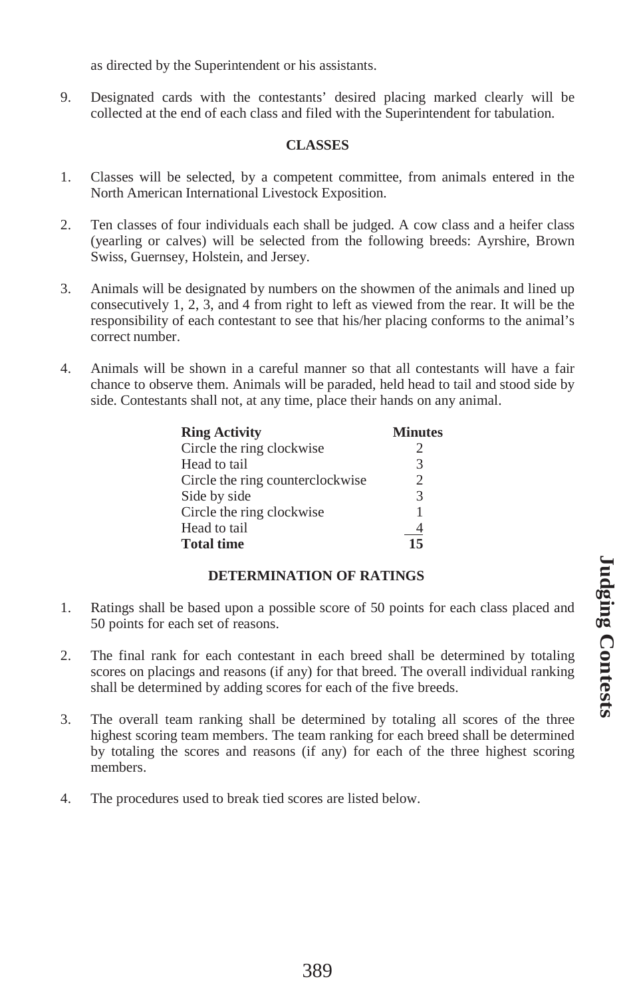as directed by the Superintendent or his assistants.

9. Designated cards with the contestants' desired placing marked clearly will be collected at the end of each class and filed with the Superintendent for tabulation.

#### **CLASSES**

- 1. Classes will be selected, by a competent committee, from animals entered in the North American International Livestock Exposition.
- 2. Ten classes of four individuals each shall be judged. A cow class and a heifer class (yearling or calves) will be selected from the following breeds: Ayrshire, Brown Swiss, Guernsey, Holstein, and Jersey.
- 3. Animals will be designated by numbers on the showmen of the animals and lined up consecutively 1, 2, 3, and 4 from right to left as viewed from the rear. It will be the responsibility of each contestant to see that his/her placing conforms to the animal's correct number.
- 4. Animals will be shown in a careful manner so that all contestants will have a fair chance to observe them. Animals will be paraded, held head to tail and stood side by side. Contestants shall not, at any time, place their hands on any animal.

| <b>Ring Activity</b>             | <b>Minutes</b> |
|----------------------------------|----------------|
| Circle the ring clockwise        | 2              |
| Head to tail                     | 3              |
| Circle the ring counterclockwise | 2              |
| Side by side                     | $\mathcal{R}$  |
| Circle the ring clockwise        |                |
| Head to tail                     | $\overline{4}$ |
| <b>Total time</b>                | 15             |

## **DETERMINATION OF RATINGS**

- 1. Ratings shall be based upon a possible score of 50 points for each class placed and 50 points for each set of reasons.
- 2. The final rank for each contestant in each breed shall be determined by totaling scores on placings and reasons (if any) for that breed. The overall individual ranking shall be determined by adding scores for each of the five breeds.
- 3. The overall team ranking shall be determined by totaling all scores of the three highest scoring team members. The team ranking for each breed shall be determined by totaling the scores and reasons (if any) for each of the three highest scoring members.
- 4. The procedures used to break tied scores are listed below.